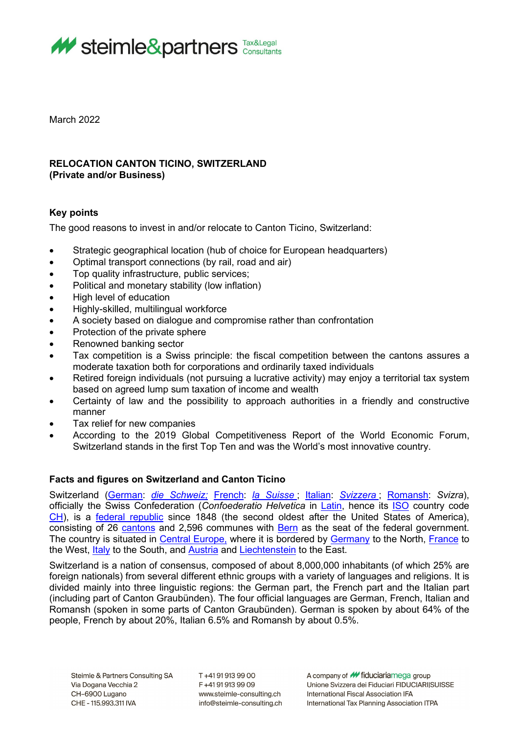

March 2022

# **RELOCATION CANTON TICINO, SWITZERLAND (Private and/or Business)**

# **Key points**

The good reasons to invest in and/or relocate to Canton Ticino, Switzerland:

- Strategic geographical location (hub of choice for European headquarters)
- Optimal transport connections (by rail, road and air)
- Top quality infrastructure, public services;
- Political and monetary stability (low inflation)
- High level of education
- Highly-skilled, multilingual workforce
- A society based on dialogue and compromise rather than confrontation
- Protection of the private sphere
- Renowned banking sector
- Tax competition is a Swiss principle: the fiscal competition between the cantons assures a moderate taxation both for corporations and ordinarily taxed individuals
- Retired foreign individuals (not pursuing a lucrative activity) may enjoy a territorial tax system based on agreed lump sum taxation of income and wealth
- Certainty of law and the possibility to approach authorities in a friendly and constructive manner
- Tax relief for new companies
- According to the 2019 Global Competitiveness Report of the World Economic Forum, Switzerland stands in the first Top Ten and was the World's most innovative country.

# **Facts and figures on Switzerland and Canton Ticino**

Switzerland [\(German:](http://en.wikipedia.org/wiki/German_language) *[die Schweiz;](http://en.wiktionary.org/wiki/Schweiz)* [French:](http://en.wikipedia.org/wiki/French_language) *[la Suisse](http://en.wiktionary.org/wiki/Suisse)* ; [Italian:](http://en.wikipedia.org/wiki/Italian_language) *[Svizzera](http://en.wiktionary.org/wiki/Svizzera)* ; [Romansh:](http://en.wikipedia.org/wiki/Romansh_language) *Svizra*), officially the Swiss Confederation (*Confoederatio Helvetica* in [Latin,](http://en.wikipedia.org/wiki/Latin_language) hence its [ISO](http://en.wikipedia.org/wiki/International_Organization_for_Standardization) country code [CH\)](http://en.wikipedia.org/wiki/Data_codes_for_Switzerland), is a [federal republic](http://en.wikipedia.org/wiki/Federal_republic) since 1848 (the second oldest after the United States of America), consisting of 26 [cantons](http://en.wikipedia.org/wiki/Canton_(administrative_division)) and 2,596 communes with **Bern** as the seat of the federal government. The country is situated in [Central Europe,](http://en.wikipedia.org/wiki/Central_Europe) where it is bordered by [Germany](http://en.wikipedia.org/wiki/Germany) to the North, [France](http://en.wikipedia.org/wiki/France) to the West, [Italy](http://en.wikipedia.org/wiki/Italy) to the South, and [Austria](http://en.wikipedia.org/wiki/Austria) and [Liechtenstein](http://en.wikipedia.org/wiki/Liechtenstein) to the East.

Switzerland is a nation of consensus, composed of about 8,000,000 inhabitants (of which 25% are foreign nationals) from several different ethnic groups with a variety of languages and religions. It is divided mainly into three linguistic regions: the German part, the French part and the Italian part (including part of Canton Graubünden). The four official languages are German, French, Italian and Romansh (spoken in some parts of Canton Graubünden). German is spoken by about 64% of the people, French by about 20%, Italian 6.5% and Romansh by about 0.5%.

T+41919139900 F+41919139909 www.steimle-consulting.ch info@steimle-consulting.ch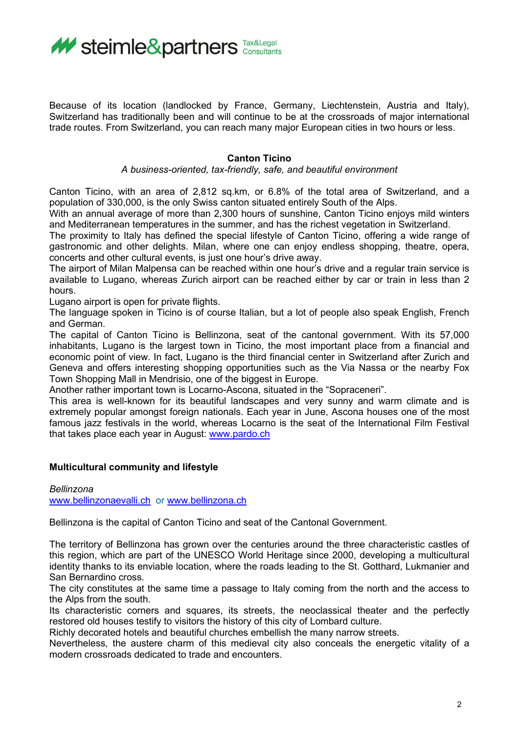

Because of its location (landlocked by France, Germany, Liechtenstein, Austria and Italy), Switzerland has traditionally been and will continue to be at the crossroads of major international trade routes. From Switzerland, you can reach many major European cities in two hours or less.

### **Canton Ticino**

### *A business-oriented, tax-friendly, safe, and beautiful environment*

Canton Ticino, with an area of 2,812 sq.km, or 6.8% of the total area of Switzerland, and a population of 330,000, is the only Swiss canton situated entirely South of the Alps.

With an annual average of more than 2,300 hours of sunshine, Canton Ticino enjoys mild winters and Mediterranean temperatures in the summer, and has the richest vegetation in Switzerland.

The proximity to Italy has defined the special lifestyle of Canton Ticino, offering a wide range of gastronomic and other delights. Milan, where one can enjoy endless shopping, theatre, opera, concerts and other cultural events, is just one hour's drive away.

The airport of Milan Malpensa can be reached within one hour's drive and a regular train service is available to Lugano, whereas Zurich airport can be reached either by car or train in less than 2 hours.

Lugano airport is open for private flights.

The language spoken in Ticino is of course Italian, but a lot of people also speak English, French and German.

The capital of Canton Ticino is Bellinzona, seat of the cantonal government. With its 57,000 inhabitants, Lugano is the largest town in Ticino, the most important place from a financial and economic point of view. In fact, Lugano is the third financial center in Switzerland after Zurich and Geneva and offers interesting shopping opportunities such as the Via Nassa or the nearby Fox Town Shopping Mall in Mendrisio, one of the biggest in Europe.

Another rather important town is Locarno-Ascona, situated in the "Sopraceneri".

This area is well-known for its beautiful landscapes and very sunny and warm climate and is extremely popular amongst foreign nationals. Each year in June, Ascona houses one of the most famous jazz festivals in the world, whereas Locarno is the seat of the International Film Festival that takes place each year in August: [www.pardo.ch](http://www.pardo.ch/)

### **Multicultural community and lifestyle**

*Bellinzona* [www.bellinzonaevalli.ch](http://www.bellinzonaevalli.ch/) or [www.bellinzona.ch](http://www.bellinzona.ch/)

Bellinzona is the capital of Canton Ticino and seat of the Cantonal Government.

The territory of Bellinzona has grown over the centuries around the three characteristic castles of this region, which are part of the UNESCO World Heritage since 2000, developing a multicultural identity thanks to its enviable location, where the roads leading to the St. Gotthard, Lukmanier and San Bernardino cross.

The city constitutes at the same time a passage to Italy coming from the north and the access to the Alps from the south.

Its characteristic corners and squares, its streets, the neoclassical theater and the perfectly restored old houses testify to visitors the history of this city of Lombard culture.

Richly decorated hotels and beautiful churches embellish the many narrow streets.

Nevertheless, the austere charm of this medieval city also conceals the energetic vitality of a modern crossroads dedicated to trade and encounters.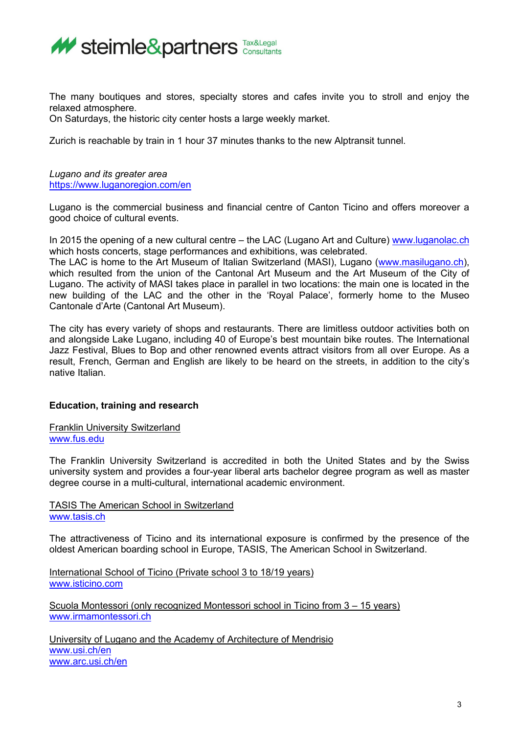

The many boutiques and stores, specialty stores and cafes invite you to stroll and enjoy the relaxed atmosphere.

On Saturdays, the historic city center hosts a large weekly market.

Zurich is reachable by train in 1 hour 37 minutes thanks to the new Alptransit tunnel.

*Lugano and its greater area* <https://www.luganoregion.com/en>

Lugano is the commercial business and financial centre of Canton Ticino and offers moreover a good choice of cultural events.

In 2015 the opening of a new cultural centre – the LAC (Lugano Art and Culture) www.luganolac.ch which hosts concerts, stage performances and exhibitions, was celebrated.

The LAC is home to the Art Museum of Italian Switzerland (MASI), Lugano [\(www.masilugano.ch\)](http://www.masilugano.ch/), which resulted from the union of the Cantonal Art Museum and the Art Museum of the City of Lugano. The activity of MASI takes place in parallel in two locations: the main one is located in the new building of the LAC and the other in the 'Royal Palace', formerly home to the Museo Cantonale d'Arte (Cantonal Art Museum).

The city has every variety of shops and restaurants. There are limitless outdoor activities both on and alongside Lake Lugano, including 40 of Europe's best mountain bike routes. The International Jazz Festival, Blues to Bop and other renowned events attract visitors from all over Europe. As a result, French, German and English are likely to be heard on the streets, in addition to the city's native Italian.

# **Education, training and research**

Franklin University Switzerland [www.fus.edu](http://www.fus.edu/) 

The Franklin University Switzerland is accredited in both the United States and by the Swiss university system and provides a four-year liberal arts bachelor degree program as well as master degree course in a multi-cultural, international academic environment.

TASIS The American School in Switzerland [www.tasis.ch](http://www.tasis.ch/)

The attractiveness of Ticino and its international exposure is confirmed by the presence of the oldest American boarding school in Europe, TASIS, The American School in Switzerland.

International School of Ticino (Private school 3 to 18/19 years) [www.isticino.com](http://www.isticino.com/)

Scuola Montessori (only recognized Montessori school in Ticino from 3 – 15 years) [www.irmamontessori.ch](http://www.irmamontessori.ch/) 

University of Lugano and the Academy of Architecture of Mendrisio [www.usi.ch/en](http://www.usi.ch/en) [www.arc.usi.ch/en](http://www.arc.usi.ch/en)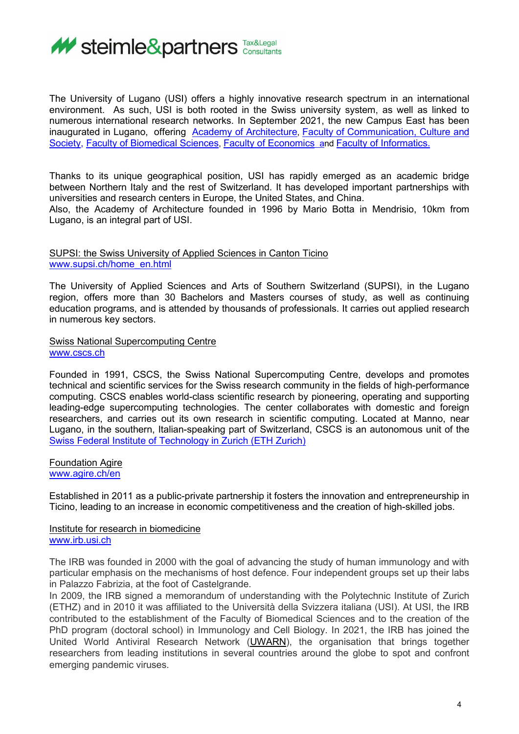

The University of Lugano (USI) offers a highly innovative research spectrum in an international environment. As such, USI is both rooted in the Swiss university system, as well as linked to numerous international research networks. In September 2021, the new Campus East has been inaugurated in Lugano, offering Academy of [Architecture,](https://www.arc.usi.ch/en?_gl=1*y4yu2s*_ga*NTczMzMxMjc2LjE2MzQ3MTY0Mzg.*_ga_89Y0EEKVWP*MTYzNDcxNjQzNy4xLjEuMTYzNDcxNjg2My40OA..&_ga=2.180775969.72663862.1634716438-573331276.1634716438) Faculty of [Communication,](https://www.com.usi.ch/en?_gl=1%2A6sft8%2A_ga%2ANTczMzMxMjc2LjE2MzQ3MTY0Mzg.%2A_ga_89Y0EEKVWP%2AMTYzNDcxNjQzNy4xLjEuMTYzNDcxNjg2OS40Mg..&_ga=2.243819011.72663862.1634716438-573331276.1634716438) Culture and [Society,](https://www.com.usi.ch/en?_gl=1%2A6sft8%2A_ga%2ANTczMzMxMjc2LjE2MzQ3MTY0Mzg.%2A_ga_89Y0EEKVWP%2AMTYzNDcxNjQzNy4xLjEuMTYzNDcxNjg2OS40Mg..&_ga=2.243819011.72663862.1634716438-573331276.1634716438) Faculty of [Biomedical](https://www.biomed.usi.ch/en?_gl=1%2Agtjnvu%2A_ga%2ANTczMzMxMjc2LjE2MzQ3MTY0Mzg.%2A_ga_89Y0EEKVWP%2AMTYzNDcxNjQzNy4xLjEuMTYzNDcxNzIyMi4zMQ..&_ga=2.181938209.72663862.1634716438-573331276.1634716438) Sciences, Faculty of [Economics](https://www.eco.usi.ch/en?_gl=1%2A1egtjmo%2A_ga%2ANTczMzMxMjc2LjE2MzQ3MTY0Mzg.%2A_ga_89Y0EEKVWP%2AMTYzNDcxNjQzNy4xLjEuMTYzNDcxNzI1OC42MA..&_ga=2.173632293.72663862.1634716438-573331276.1634716438) and Faculty of [Informatics.](https://www.inf.usi.ch/en?_gl=1%2A1hgrysn%2A_ga%2ANTczMzMxMjc2LjE2MzQ3MTY0Mzg.%2A_ga_89Y0EEKVWP%2AMTYzNDcxNjQzNy4xLjEuMTYzNDcxNzI5Mi4yNg..&_ga=2.173632293.72663862.1634716438-573331276.1634716438) 

Thanks to its unique geographical position, USI has rapidly emerged as an academic bridge between Northern Italy and the rest of Switzerland. It has developed important partnerships with universities and research centers in Europe, the United States, and China.

Also, the Academy of Architecture founded in 1996 by Mario Botta in Mendrisio, 10km from Lugano, is an integral part of USI.

### SUPSI: the Swiss University of Applied Sciences in Canton Ticino [www.supsi.ch/home\\_en.html](http://www.supsi.ch/home_en.html)

The University of Applied Sciences and Arts of Southern Switzerland (SUPSI), in the Lugano region, offers more than 30 Bachelors and Masters courses of study, as well as continuing education programs, and is attended by thousands of professionals. It carries out applied research in numerous key sectors.

Swiss National Supercomputing Centre [www.cscs.ch](http://www.cscs.ch/)

Founded in 1991, CSCS, the Swiss National Supercomputing Centre, develops and promotes technical and scientific services for the Swiss research community in the fields of high-performance computing. CSCS enables world-class scientific research by pioneering, operating and supporting leading-edge supercomputing technologies. The center collaborates with domestic and foreign researchers, and carries out its own research in scientific computing. Located at Manno, near Lugano, in the southern, Italian-speaking part of Switzerland, CSCS is an autonomous unit of the [Swiss Federal Institute of Technology in Zurich \(ETH Zurich\)](https://ethz.ch/en.html)

Foundation Agire [www.agire.ch/en](http://www.agire.ch/en)

Established in 2011 as a public-private partnership it fosters the innovation and entrepreneurship in Ticino, leading to an increase in economic competitiveness and the creation of high-skilled jobs.

#### Institute for research in biomedicine [www.irb.usi.ch](http://www.irb.usi.ch/)

The IRB was founded in 2000 with the goal of advancing the study of human immunology and with particular emphasis on the mechanisms of host defence. Four independent groups set up their labs in Palazzo Fabrizia, at the foot of Castelgrande.

In 2009, the IRB signed a memorandum of understanding with the Polytechnic Institute of Zurich (ETHZ) and in 2010 it was affiliated to the Università della Svizzera italiana (USI). At USI, the IRB contributed to the establishment of the Faculty of Biomedical Sciences and to the creation of the PhD program (doctoral school) in Immunology and Cell Biology. In 2021, the IRB has joined the United World Antiviral Research Network [\(UWARN\)](https://cerid.uw.edu/uwarn), the organisation that brings together researchers from leading institutions in several countries around the globe to spot and confront emerging pandemic viruses.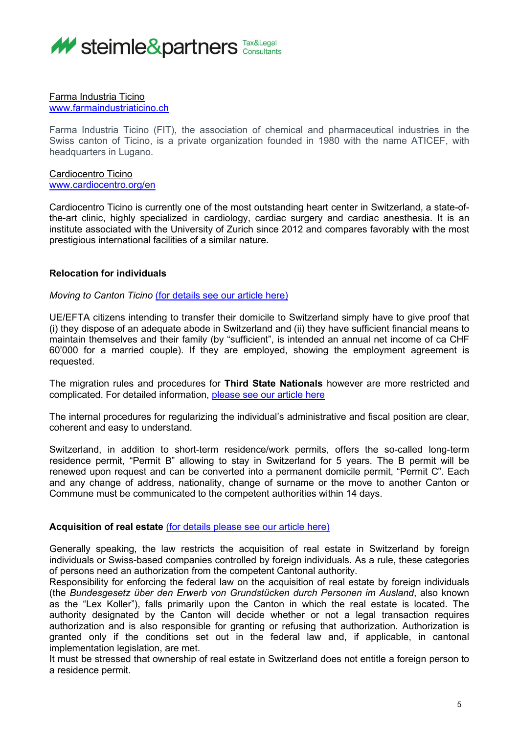

## Farma Industria Ticino

[www.farmaindustriaticino.ch](http://www.farmaindustriaticino.ch/)

Farma Industria Ticino (FIT), the association of chemical and pharmaceutical industries in the Swiss canton of Ticino, is a private organization founded in 1980 with the name ATICEF, with headquarters in Lugano.

Cardiocentro Ticino [www.cardiocentro.org/en](http://www.cardiocentro.org/en)

Cardiocentro Ticino is currently one of the most outstanding heart center in Switzerland, a state-ofthe-art clinic, highly specialized in cardiology, cardiac surgery and cardiac anesthesia. It is an institute associated with the University of Zurich since 2012 and compares favorably with the most prestigious international facilities of a similar nature.

# **Relocation for individuals**

*Moving to Canton Ticino* [\(for details see our article here\)](http://steimle.marketingtherapy.de/wp-content/uploads/2022/04/Relocation-for-EU-EFTA-citizens.pdf)

UE/EFTA citizens intending to transfer their domicile to Switzerland simply have to give proof that (i) they dispose of an adequate abode in Switzerland and (ii) they have sufficient financial means to maintain themselves and their family (by "sufficient", is intended an annual net income of ca CHF 60'000 for a married couple). If they are employed, showing the employment agreement is requested.

The migration rules and procedures for **Third State Nationals** however are more restricted and complicated. For detailed information, please see our article here

The internal procedures for regularizing the individual's administrative and fiscal position are clear, coherent and easy to understand.

Switzerland, in addition to short-term residence/work permits, offers the so-called long-term residence permit, "Permit B" allowing to stay in Switzerland for 5 years. The B permit will be renewed upon request and can be converted into a permanent domicile permit, "Permit C". Each and any change of address, nationality, change of surname or the move to another Canton or Commune must be communicated to the competent authorities within 14 days.

### **Acquisition of real estate** [\(for details please see our article here\)](http://steimle.marketingtherapy.de/wp-content/uploads/2022/04/Executive-summary-on-acquisition-and-use-of-real-estate-properties-edition-2022-1.pdf)

Generally speaking, the law restricts the acquisition of real estate in Switzerland by foreign individuals or Swiss-based companies controlled by foreign individuals. As a rule, these categories of persons need an authorization from the competent Cantonal authority.

Responsibility for enforcing the federal law on the acquisition of real estate by foreign individuals (the *Bundesgesetz über den Erwerb von Grundstücken durch Personen im Ausland*, also known as the "Lex Koller"), falls primarily upon the Canton in which the real estate is located. The authority designated by the Canton will decide whether or not a legal transaction requires authorization and is also responsible for granting or refusing that authorization. Authorization is granted only if the conditions set out in the federal law and, if applicable, in cantonal implementation legislation, are met.

It must be stressed that ownership of real estate in Switzerland does not entitle a foreign person to a residence permit.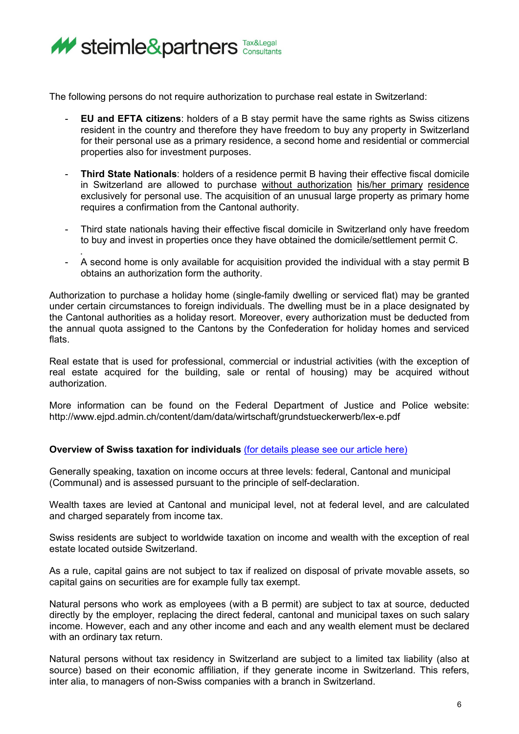

The following persons do not require authorization to purchase real estate in Switzerland:

- **EU and EFTA citizens**: holders of a B stay permit have the same rights as Swiss citizens resident in the country and therefore they have freedom to buy any property in Switzerland for their personal use as a primary residence, a second home and residential or commercial properties also for investment purposes.
- **Third State Nationals**: holders of a residence permit B having their effective fiscal domicile in Switzerland are allowed to purchase without authorization his/her primary residence exclusively for personal use. The acquisition of an unusual large property as primary home requires a confirmation from the Cantonal authority.
- Third state nationals having their effective fiscal domicile in Switzerland only have freedom to buy and invest in properties once they have obtained the domicile/settlement permit C.
- . A second home is only available for acquisition provided the individual with a stay permit B obtains an authorization form the authority.

Authorization to purchase a holiday home (single-family dwelling or serviced flat) may be granted under certain circumstances to foreign individuals. The dwelling must be in a place designated by the Cantonal authorities as a holiday resort. Moreover, every authorization must be deducted from the annual quota assigned to the Cantons by the Confederation for holiday homes and serviced flats.

Real estate that is used for professional, commercial or industrial activities (with the exception of real estate acquired for the building, sale or rental of housing) may be acquired without authorization.

More information can be found on the Federal Department of Justice and Police website: <http://www.ejpd.admin.ch/content/dam/data/wirtschaft/grundstueckerwerb/lex-e.pdf>

# **Overview of Swiss taxation for individuals** (for details please [see our article here\)](http://steimle.marketingtherapy.de/wp-content/uploads/2022/04/Ordinary-taxation-of-individuals-edition-2022.docx.pdf)

Generally speaking, taxation on income occurs at three levels: federal, Cantonal and municipal (Communal) and is assessed pursuant to the principle of self-declaration.

Wealth taxes are levied at Cantonal and municipal level, not at federal level, and are calculated and charged separately from income tax.

Swiss residents are subject to worldwide taxation on income and wealth with the exception of real estate located outside Switzerland.

As a rule, capital gains are not subject to tax if realized on disposal of private movable assets, so capital gains on securities are for example fully tax exempt.

Natural persons who work as employees (with a B permit) are subject to tax at source, deducted directly by the employer, replacing the direct federal, cantonal and municipal taxes on such salary income. However, each and any other income and each and any wealth element must be declared with an ordinary tax return.

Natural persons without tax residency in Switzerland are subject to a limited tax liability (also at source) based on their economic affiliation, if they generate income in Switzerland. This refers, inter alia, to managers of non-Swiss companies with a branch in Switzerland.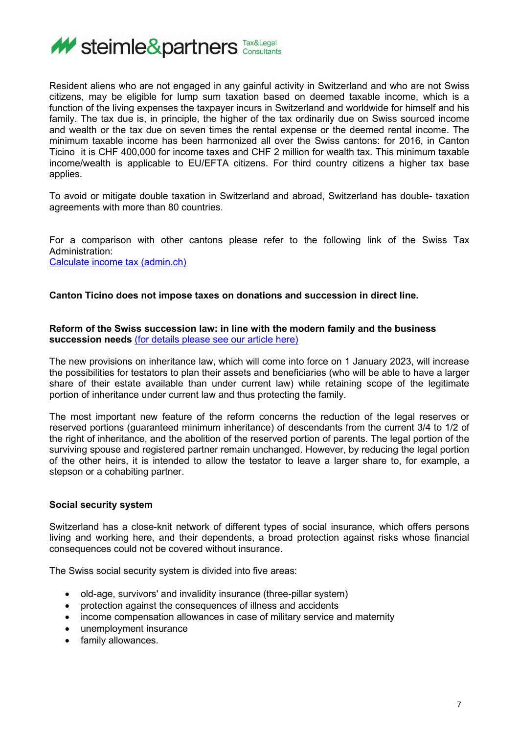

Resident aliens who are not engaged in any gainful activity in Switzerland and who are not Swiss citizens, may be eligible for lump sum taxation based on deemed taxable income, which is a function of the living expenses the taxpayer incurs in Switzerland and worldwide for himself and his family. The tax due is, in principle, the higher of the tax ordinarily due on Swiss sourced income and wealth or the tax due on seven times the rental expense or the deemed rental income. The minimum taxable income has been harmonized all over the Swiss cantons: for 2016, in Canton Ticino it is CHF 400,000 for income taxes and CHF 2 million for wealth tax. This minimum taxable income/wealth is applicable to EU/EFTA citizens. For third country citizens a higher tax base applies.

To avoid or mitigate double taxation in Switzerland and abroad, Switzerland has double- taxation agreements with more than 80 countries.

For a comparison with other cantons please refer to the following link of the Swiss Tax Administration: [Calculate income tax \(admin.ch\)](https://swisstaxcalculator.estv.admin.ch/#/calculator/income-wealth-tax)

**Canton Ticino does not impose taxes on donations and succession in direct line.** 

**Reform of the Swiss succession law: in line with the modern family and the business succession needs** [\(for details please see our article here\)](http://steimle.marketingtherapy.de/wp-content/uploads/2022/04/Reform-of-the-Swiss-succession-law-in-line-with-the-modern-family-and-business-succession-needs.pdf)

The new provisions on inheritance law, which will come into force on 1 January 2023, will increase the possibilities for testators to plan their assets and beneficiaries (who will be able to have a larger share of their estate available than under current law) while retaining scope of the legitimate portion of inheritance under current law and thus protecting the family.

The most important new feature of the reform concerns the reduction of the legal reserves or reserved portions (guaranteed minimum inheritance) of descendants from the current 3/4 to 1/2 of the right of inheritance, and the abolition of the reserved portion of parents. The legal portion of the surviving spouse and registered partner remain unchanged. However, by reducing the legal portion of the other heirs, it is intended to allow the testator to leave a larger share to, for example, a stepson or a cohabiting partner.

### **Social security system**

Switzerland has a close-knit network of different types of social insurance, which offers persons living and working here, and their dependents, a broad protection against risks whose financial consequences could not be covered without insurance.

The Swiss social security system is divided into five areas:

- old-age, survivors' and invalidity insurance (three-pillar system)
- protection against the consequences of illness and accidents
- income compensation allowances in case of military service and maternity
- unemployment insurance
- family allowances.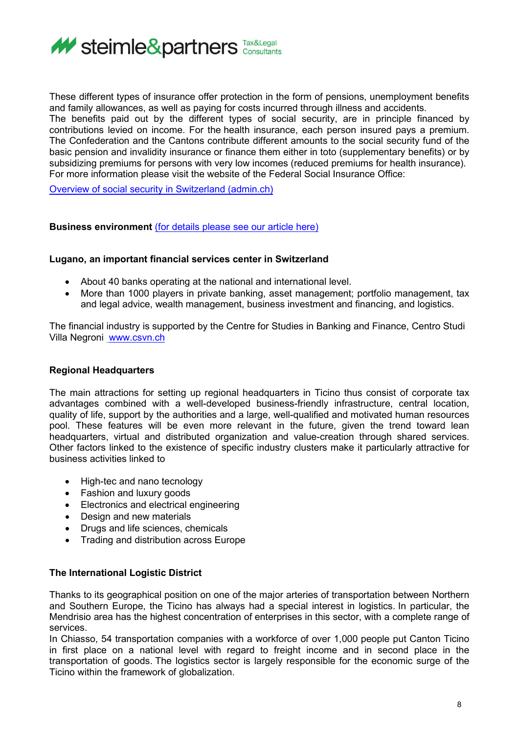

These different types of insurance offer protection in the form of pensions, unemployment benefits and family allowances, as well as paying for costs incurred through illness and accidents. The benefits paid out by the different types of social security, are in principle financed by contributions levied on income. For the health insurance, each person insured pays a premium. The Confederation and the Cantons contribute different amounts to the social security fund of the basic pension and invalidity insurance or finance them either in toto (supplementary benefits) or by subsidizing premiums for persons with very low incomes (reduced premiums for health insurance). For more information please visit the website of the Federal Social Insurance Office:

[Overview of social security in Switzerland \(admin.ch\)](https://www.bsv.admin.ch/bsv/en/home/social-insurance/ueberblick.html)

### **Business environment** [\(for details please see our article](http://steimle.marketingtherapy.de/wp-content/uploads/2022/04/Legal-and-fiscal-aspects-of-setting-up-business-in-Canton-Ticino-2022-Edition-1.pdf) here)

### **Lugano, an important financial services center in Switzerland**

- About 40 banks operating at the national and international level.
- More than 1000 players in private banking, asset management; portfolio management, tax and legal advice, wealth management, business investment and financing, and logistics.

The financial industry is supported by the Centre for Studies in Banking and Finance, Centro Studi Villa Negroni [www.csvn.ch](http://www.csvn.ch/) 

## **Regional Headquarters**

The main attractions for setting up regional headquarters in Ticino thus consist of corporate tax advantages combined with a well-developed business-friendly infrastructure, central location, quality of life, support by the authorities and a large, well-qualified and motivated human resources pool. These features will be even more relevant in the future, given the trend toward lean headquarters, virtual and distributed organization and value-creation through shared services. Other factors linked to the existence of specific industry clusters make it particularly attractive for business activities linked to

- High-tec and nano tecnology
- Fashion and luxury goods
- Electronics and electrical engineering
- Design and new materials
- Drugs and life sciences, chemicals
- Trading and distribution across Europe

# **The International Logistic District**

Thanks to its geographical position on one of the major arteries of transportation between Northern and Southern Europe, the Ticino has always had a special interest in logistics. In particular, the Mendrisio area has the highest concentration of enterprises in this sector, with a complete range of services.

In Chiasso, 54 transportation companies with a workforce of over 1,000 people put Canton Ticino in first place on a national level with regard to freight income and in second place in the transportation of goods. The logistics sector is largely responsible for the economic surge of the Ticino within the framework of globalization.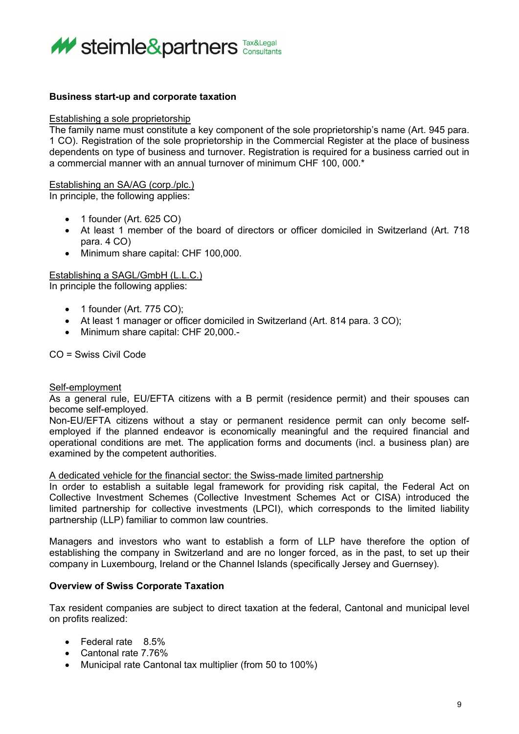

## **Business start-up and corporate taxation**

### Establishing a sole proprietorship

The family name must constitute a key component of the sole proprietorship's name (Art. 945 para. 1 CO). Registration of the sole proprietorship in the Commercial Register at the place of business dependents on type of business and turnover. Registration is required for a business carried out in a commercial manner with an annual turnover of minimum CHF 100, 000.\*

### Establishing an SA/AG (corp./plc.)

In principle, the following applies:

- 1 founder (Art. 625 CO)
- At least 1 member of the board of directors or officer domiciled in Switzerland (Art. 718 para. 4 CO)
- Minimum share capital: CHF 100,000.

### Establishing a SAGL/GmbH (L.L.C.)

In principle the following applies:

- 1 founder (Art. 775 CO);
- At least 1 manager or officer domiciled in Switzerland (Art. 814 para. 3 CO);
- Minimum share capital: CHF 20,000.-

CO = Swiss Civil Code

### Self-employment

As a general rule, EU/EFTA citizens with a B permit (residence permit) and their spouses can become self-employed.

Non-EU/EFTA citizens without a stay or permanent residence permit can only become selfemployed if the planned endeavor is economically meaningful and the required financial and operational conditions are met. The application forms and documents (incl. a business plan) are examined by the competent authorities.

A dedicated vehicle for the financial sector: the Swiss-made limited partnership

In order to establish a suitable legal framework for providing risk capital, the Federal Act on Collective Investment Schemes (Collective Investment Schemes Act or CISA) introduced the limited partnership for collective investments (LPCI), which corresponds to the limited liability partnership (LLP) familiar to common law countries.

Managers and investors who want to establish a form of LLP have therefore the option of establishing the company in Switzerland and are no longer forced, as in the past, to set up their company in Luxembourg, Ireland or the Channel Islands (specifically Jersey and Guernsey).

### **Overview of Swiss Corporate Taxation**

Tax resident companies are subject to direct taxation at the federal, Cantonal and municipal level on profits realized:

- Federal rate 8.5%
- Cantonal rate 7.76%
- Municipal rate Cantonal tax multiplier (from 50 to 100%)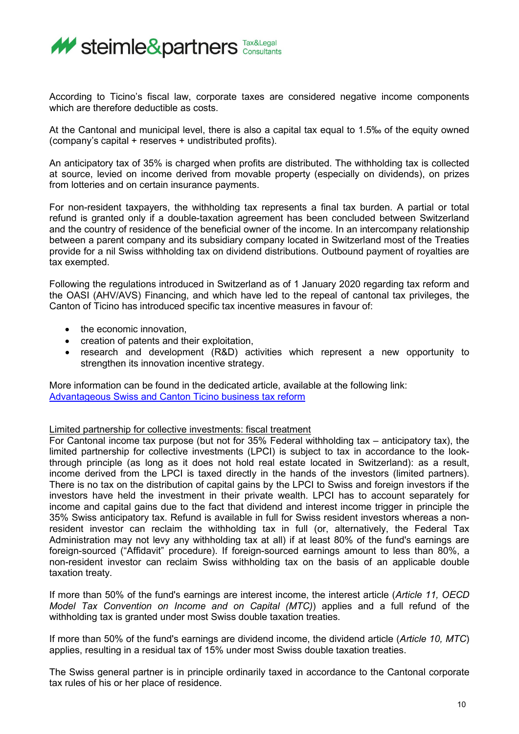

According to Ticino's fiscal law, corporate taxes are considered negative income components which are therefore deductible as costs.

At the Cantonal and municipal level, there is also a capital tax equal to 1.5‰ of the equity owned (company's capital + reserves + undistributed profits).

An anticipatory tax of 35% is charged when profits are distributed. The withholding tax is collected at source, levied on income derived from movable property (especially on dividends), on prizes from lotteries and on certain insurance payments.

For non-resident taxpayers, the withholding tax represents a final tax burden. A partial or total refund is granted only if a double-taxation agreement has been concluded between Switzerland and the country of residence of the beneficial owner of the income. In an intercompany relationship between a parent company and its subsidiary company located in Switzerland most of the Treaties provide for a nil Swiss withholding tax on dividend distributions. Outbound payment of royalties are tax exempted.

Following the regulations introduced in Switzerland as of 1 January 2020 regarding tax reform and the OASI (AHV/AVS) Financing, and which have led to the repeal of cantonal tax privileges, the Canton of Ticino has introduced specific tax incentive measures in favour of:

- the economic innovation,
- creation of patents and their exploitation,
- research and development (R&D) activities which represent a new opportunity to strengthen its innovation incentive strategy.

More information can be found in the dedicated article, available at the following link: [Advantageous Swiss and Canton Ticino business tax reform](http://steimle.marketingtherapy.de/wp-content/uploads/2022/04/Advantageous-Swiss-and-Canton-Ticino-business-tax-reform.pdf)

### Limited partnership for collective investments: fiscal treatment

For Cantonal income tax purpose (but not for 35% Federal withholding tax – anticipatory tax), the limited partnership for collective investments (LPCI) is subject to tax in accordance to the lookthrough principle (as long as it does not hold real estate located in Switzerland): as a result, income derived from the LPCI is taxed directly in the hands of the investors (limited partners). There is no tax on the distribution of capital gains by the LPCI to Swiss and foreign investors if the investors have held the investment in their private wealth. LPCI has to account separately for income and capital gains due to the fact that dividend and interest income trigger in principle the 35% Swiss anticipatory tax. Refund is available in full for Swiss resident investors whereas a nonresident investor can reclaim the withholding tax in full (or, alternatively, the Federal Tax Administration may not levy any withholding tax at all) if at least 80% of the fund's earnings are foreign-sourced ("Affidavit" procedure). If foreign-sourced earnings amount to less than 80%, a non-resident investor can reclaim Swiss withholding tax on the basis of an applicable double taxation treaty.

If more than 50% of the fund's earnings are interest income, the interest article (*Article 11, OECD Model Tax Convention on Income and on Capital (MTC)*) applies and a full refund of the withholding tax is granted under most Swiss double taxation treaties.

If more than 50% of the fund's earnings are dividend income, the dividend article (*Article 10, MTC*) applies, resulting in a residual tax of 15% under most Swiss double taxation treaties.

The Swiss general partner is in principle ordinarily taxed in accordance to the Cantonal corporate tax rules of his or her place of residence.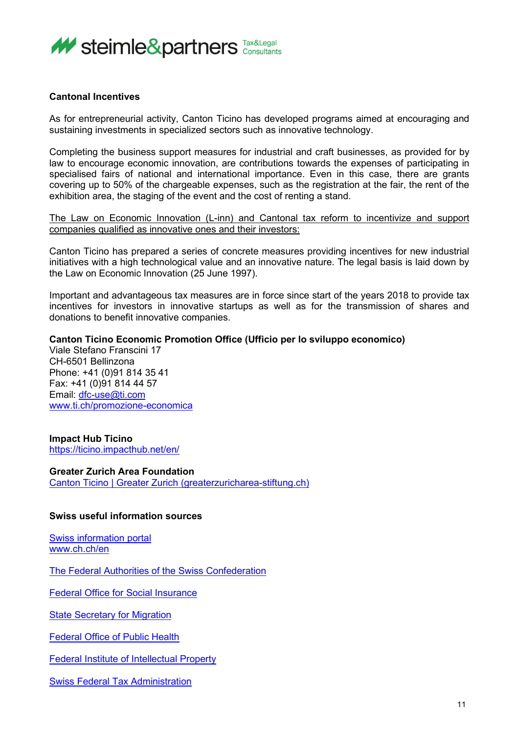

## **Cantonal Incentives**

As for entrepreneurial activity, Canton Ticino has developed programs aimed at encouraging and sustaining investments in specialized sectors such as innovative technology.

Completing the business support measures for industrial and craft businesses, as provided for by law to encourage economic innovation, are contributions towards the expenses of participating in specialised fairs of national and international importance. Even in this case, there are grants covering up to 50% of the chargeable expenses, such as the registration at the fair, the rent of the exhibition area, the staging of the event and the cost of renting a stand.

The Law on Economic Innovation (L-inn) and Cantonal tax reform to incentivize and support companies qualified as innovative ones and their investors:

Canton Ticino has prepared a series of concrete measures providing incentives for new industrial initiatives with a high technological value and an innovative nature. The legal basis is laid down by the Law on Economic Innovation (25 June 1997).

Important and advantageous tax measures are in force since start of the years 2018 to provide tax incentives for investors in innovative startups as well as for the transmission of shares and donations to benefit innovative companies.

# **Canton Ticino Economic Promotion Office (Ufficio per lo sviluppo economico)**

Viale Stefano Franscini 17 CH-6501 Bellinzona Phone: +41 (0)91 814 35 41 Fax: +41 (0)91 814 44 57 Email: [dfc-use@ti.com](mailto:dfc-use@ti.com) [www.ti.ch/promozione-economica](http://www.ti.ch/promozione-economica)

### **Impact Hub Ticino**

<https://ticino.impacthub.net/en/>

### **Greater Zurich Area Foundation**

[Canton Ticino | Greater Zurich \(greaterzuricharea-stiftung.ch\)](https://www.greaterzuricharea-stiftung.ch/en/canton-ticino)

## **Swiss useful information sources**

[Swiss information portal](https://www.eda.admin.ch/aboutswitzerland/en/home.html/es) [www.ch.ch/en](http://www.ch.ch/en)

[The Federal Authorities of the Swiss Confederation](https://www.admin.ch/gov/en/start.html)

[Federal Office for Social Insurance](https://www.bsv.admin.ch/bsv/en/home.html)

[State Secretary for Migration](https://www.sem.admin.ch/sem/en/home.html)

[Federal Office of Public Health](https://www.bag.admin.ch/bag/en/home.html)

[Federal Institute of Intellectual Property](https://www.ige.ch/en/)

[Swiss Federal Tax Administration](https://www.estv.admin.ch/estv/en/home.html)